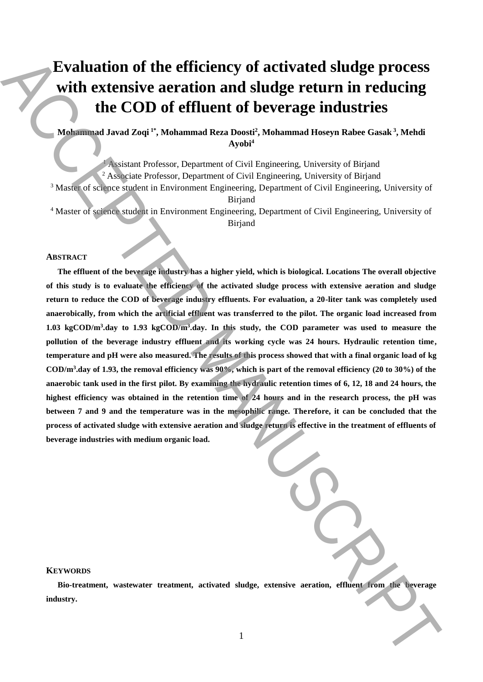# **Evaluation of the efficiency of activated sludge process with extensive aeration and sludge return in reducing the COD of effluent of beverage industries**

# **Mohammad Javad Zoqi 1\* , Mohammad Reza Doosti<sup>2</sup> , Mohammad Hoseyn Rabee Gasak <sup>3</sup> , Mehdi Ayobi<sup>4</sup>**

<sup>1</sup> Assistant Professor, Department of Civil Engineering, University of Birjand <sup>2</sup> Associate Professor, Department of Civil Engineering, University of Birjand <sup>3</sup> Master of science student in Environment Engineering, Department of Civil Engineering, University of Birjand <sup>4</sup> Master of science student in Environment Engineering, Department of Civil Engineering, University of Birjand

#### **ABSTRACT**

**The effluent of the beverage industry has a higher yield, which is biological. Locations The overall objective of this study is to evaluate the efficiency of the activated sludge process with extensive aeration and sludge return to reduce the COD of beverage industry effluents. For evaluation, a 20-liter tank was completely used anaerobically, from which the artificial effluent was transferred to the pilot. The organic load increased from 1.03 kgCOD/m<sup>3</sup> .day to 1.93 kgCOD/m<sup>3</sup> .day. In this study, the COD parameter was used to measure the pollution of the beverage industry effluent and its working cycle was 24 hours. Hydraulic retention time, temperature and pH were also measured. The results of this process showed that with a final organic load of kg COD/m<sup>3</sup> .day of 1.93, the removal efficiency was 90%, which is part of the removal efficiency (20 to 30%) of the anaerobic tank used in the first pilot. By examining the hydraulic retention times of 6, 12, 18 and 24 hours, the highest efficiency was obtained in the retention time of 24 hours and in the research process, the pH was**  between 7 and 9 and the temperature was in the mesophilic range. Therefore, it can be concluded that the **process of activated sludge with extensive aeration and sludge return is effective in the treatment of effluents of beverage industries with medium organic load. Evaluation of the efficiency of activated sludge process<br>with extensive aeration and sludge return in reducing<br>the COD of effluent of beverage industries.<br>
Manuscriptic COD of effluent of beverage industry. Notice the sy** 

| $\overline{a}$ |
|----------------|
|                |

### **KEYWORDS**

**Bio-treatment, wastewater treatment, activated sludge, extensive aeration, effluent from the beverage**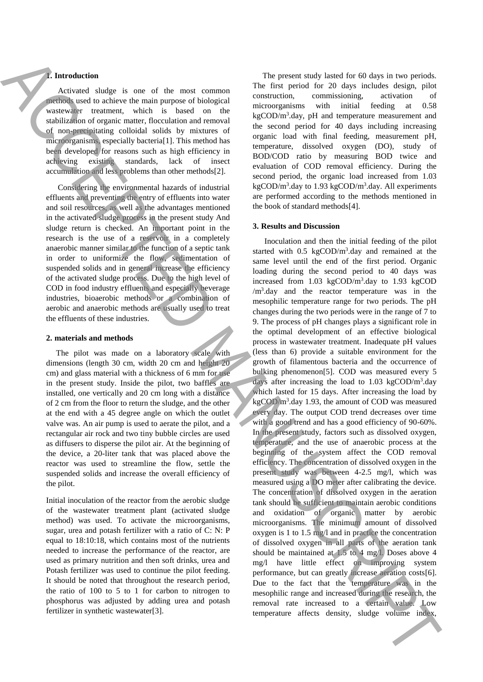## **1. Introduction**

Activated sludge is one of the most common methods used to achieve the main purpose of biological wastewater treatment, which is based on the stabilization of organic matter, flocculation and removal of non-precipitating colloidal solids by mixtures of microorganisms, especially bacteria[1]. This method has been developed for reasons such as high efficiency in achieving existing standards, lack of insect accumulation and less problems than other methods[2].

Considering the environmental hazards of industrial effluents and preventing the entry of effluents into water and soil resources, as well as the advantages mentioned in the activated sludge process in the present study And sludge return is checked. An important point in the research is the use of a reservoir in a completely anaerobic manner similar to the function of a septic tank in order to uniformize the flow, sedimentation of suspended solids and in general increase the efficiency of the activated sludge process. Due to the high level of COD in food industry effluents and especially beverage industries, bioaerobic methods or a combination of aerobic and anaerobic methods are usually used to treat the effluents of these industries.

#### **2. materials and methods**

 The pilot was made on a laboratory scale with dimensions (length 30 cm, width 20 cm and height 20 cm) and glass material with a thickness of 6 mm for use in the present study. Inside the pilot, two baffles are installed, one vertically and 20 cm long with a distance of 2 cm from the floor to return the sludge, and the other at the end with a 45 degree angle on which the outlet valve was. An air pump is used to aerate the pilot, and a rectangular air rock and two tiny bubble circles are used as diffusers to disperse the pilot air. At the beginning of the device, a 20-liter tank that was placed above the reactor was used to streamline the flow, settle the suspended solids and increase the overall efficiency of the pilot.

Initial inoculation of the reactor from the aerobic sludge of the wastewater treatment plant (activated sludge method) was used. To activate the microorganisms, sugar, urea and potash fertilizer with a ratio of C: N: P equal to 18:10:18, which contains most of the nutrients needed to increase the performance of the reactor, are used as primary nutrition and then soft drinks, urea and Potash fertilizer was used to continue the pilot feeding. It should be noted that throughout the research period, the ratio of 100 to 5 to 1 for carbon to nitrogen to phosphorus was adjusted by adding urea and potash fertilizer in synthetic wastewater[3].

 The present study lasted for 60 days in two periods. The first period for 20 days includes design, pilot construction, commissioning, activation of microorganisms with initial feeding at 0.58  $kg\text{COD/m}^3$ .day, pH and temperature measurement and the second period for 40 days including increasing organic load with final feeding, measurement pH, temperature, dissolved oxygen (DO), study of BOD/COD ratio by measuring BOD twice and evaluation of COD removal efficiency. During the second period, the organic load increased from 1.03 kgCOD/m<sup>3</sup>.day to 1.93 kgCOD/m<sup>3</sup>.day. All experiments are performed according to the methods mentioned in the book of standard methods[4].

#### **3. Results and Discussion**

Inoculation and then the initial feeding of the pilot started with 0.5 kgCOD/m<sup>3</sup>.day and remained at the same level until the end of the first period. Organic loading during the second period to 40 days was increased from 1.03 kgCOD/m<sup>3</sup> .day to 1.93 kgCOD  $/m<sup>3</sup>$  day and the reactor temperature was in the mesophilic temperature range for two periods. The pH changes during the two periods were in the range of 7 to 9. The process of pH changes plays a significant role in the optimal development of an effective biological process in wastewater treatment. Inadequate pH values (less than 6) provide a suitable environment for the growth of filamentous bacteria and the occurrence of bulking phenomenon[5]. COD was measured every 5 days after increasing the load to 1.03 kgCOD/m<sup>3</sup>.day which lasted for 15 days. After increasing the load by  $kg\text{COD/m}^3$ .day 1.93, the amount of COD was measured every day. The output COD trend decreases over time with a good trend and has a good efficiency of 90-60%. In the present study, factors such as dissolved oxygen, temperature, and the use of anaerobic process at the beginning of the system affect the COD removal efficiency. The concentration of dissolved oxygen in the present study was between 4-2.5 mg/l, which was measured using a DO meter after calibrating the device. The concentration of dissolved oxygen in the aeration tank should be sufficient to maintain aerobic conditions and oxidation of organic matter by aerobic microorganisms. The minimum amount of dissolved oxygen is 1 to 1.5 mg/l and in practice the concentration of dissolved oxygen in all parts of the aeration tank should be maintained at 1.5 to 4 mg/l. Doses above 4 mg/l have little effect on improving system performance, but can greatly increase aeration costs[6]. Due to the fact that the temperature was in the mesophilic range and increased during the research, the removal rate increased to a certain value. Low The best<br>affects density is use of the mean somma. The person stock density density and<br>consider a structure affects of the mean of the mean of the structure affects density<br>and the mean of the mean of the mean of the mea